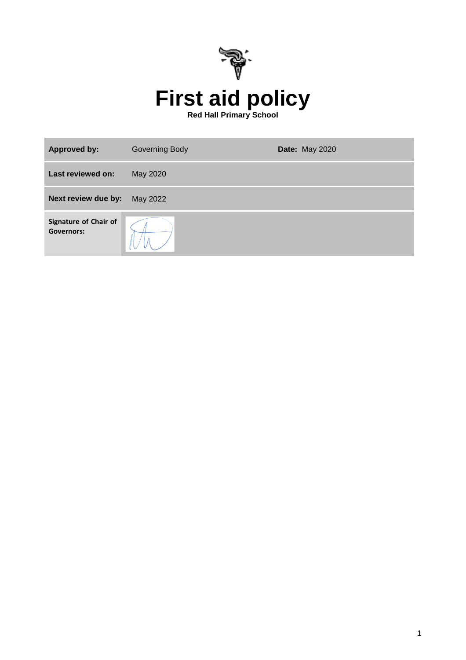

| <b>Approved by:</b>                               | <b>Governing Body</b> | <b>Date: May 2020</b> |
|---------------------------------------------------|-----------------------|-----------------------|
| Last reviewed on:                                 | May 2020              |                       |
| Next review due by:                               | May 2022              |                       |
| <b>Signature of Chair of</b><br><b>Governors:</b> |                       |                       |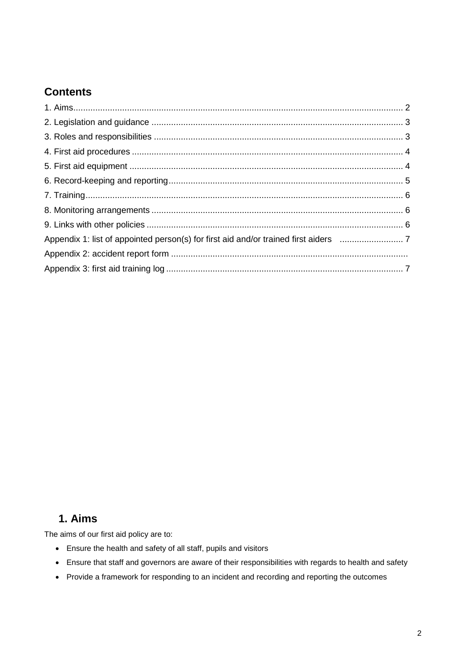# **Contents**

# **1. Aims**

The aims of our first aid policy are to:

- Ensure the health and safety of all staff, pupils and visitors
- Ensure that staff and governors are aware of their responsibilities with regards to health and safety
- Provide a framework for responding to an incident and recording and reporting the outcomes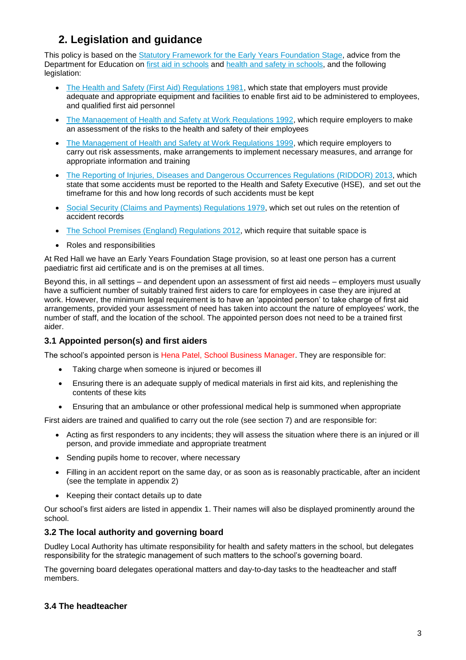# **2. Legislation and guidance**

This policy is based on the [Statutory Framework for the Early Years Foundation Stage,](https://www.gov.uk/government/uploads/system/uploads/attachment_data/file/596629/EYFS_STATUTORY_FRAMEWORK_2017.pdf) advice from the Department for Education on [first aid in schools](https://www.gov.uk/government/publications/first-aid-in-schools) and [health and safety](https://www.gov.uk/government/publications/health-and-safety-advice-for-schools) in schools, and the following legislation:

- [The Health and Safety \(First Aid\) Regulations 1981,](http://www.legislation.gov.uk/uksi/1981/917/regulation/3/made) which state that employers must provide adequate and appropriate equipment and facilities to enable first aid to be administered to employees, and qualified first aid personnel
- [The Management of Health and Safety at Work Regulations 1992,](http://www.legislation.gov.uk/uksi/1992/2051/regulation/3/made) which require employers to make an assessment of the risks to the health and safety of their employees
- [The Management of Health and Safety at Work Regulations 1999,](http://www.legislation.gov.uk/uksi/1999/3242/contents/made) which require employers to carry out risk assessments, make arrangements to implement necessary measures, and arrange for appropriate information and training
- [The Reporting of Injuries, Diseases and Dangerous Occurrences Regulations](http://www.legislation.gov.uk/uksi/2013/1471/schedule/1/paragraph/1/made) (RIDDOR) 2013, which state that some accidents must be reported to the Health and Safety Executive (HSE), and set out the timeframe for this and how long records of such accidents must be kept
- [Social Security \(Claims and Payments\) Regulations 1979,](http://www.legislation.gov.uk/uksi/1979/628) which set out rules on the retention of accident records
- [The School Premises \(England\) Regulations 2012,](http://www.legislation.gov.uk/uksi/2012/1943/regulation/5/made) which require that suitable space is
- Roles and responsibilities

At Red Hall we have an Early Years Foundation Stage provision, so at least one person has a current paediatric first aid certificate and is on the premises at all times.

Beyond this, in all settings – and dependent upon an assessment of first aid needs – employers must usually have a sufficient number of suitably trained first aiders to care for employees in case they are injured at work. However, the minimum legal requirement is to have an 'appointed person' to take charge of first aid arrangements, provided your assessment of need has taken into account the nature of employees' work, the number of staff, and the location of the school. The appointed person does not need to be a trained first aider.

### **3.1 Appointed person(s) and first aiders**

The school's appointed person is Hena Patel, School Business Manager. They are responsible for:

- Taking charge when someone is injured or becomes ill
- Ensuring there is an adequate supply of medical materials in first aid kits, and replenishing the contents of these kits
- Ensuring that an ambulance or other professional medical help is summoned when appropriate

First aiders are trained and qualified to carry out the role (see section 7) and are responsible for:

- Acting as first responders to any incidents; they will assess the situation where there is an injured or ill person, and provide immediate and appropriate treatment
- Sending pupils home to recover, where necessary
- Filling in an accident report on the same day, or as soon as is reasonably practicable, after an incident (see the template in appendix 2)
- Keeping their contact details up to date

Our school's first aiders are listed in appendix 1. Their names will also be displayed prominently around the school.

### **3.2 The local authority and governing board**

Dudley Local Authority has ultimate responsibility for health and safety matters in the school, but delegates responsibility for the strategic management of such matters to the school's governing board.

The governing board delegates operational matters and day-to-day tasks to the headteacher and staff members.

### **3.4 The headteacher**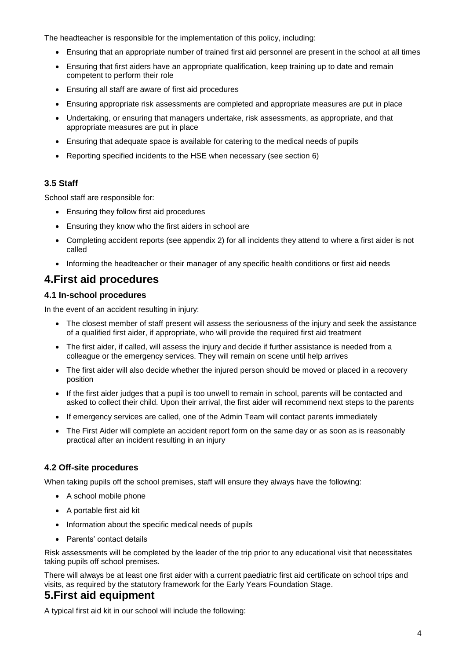The headteacher is responsible for the implementation of this policy, including:

- Ensuring that an appropriate number of trained first aid personnel are present in the school at all times
- Ensuring that first aiders have an appropriate qualification, keep training up to date and remain competent to perform their role
- Ensuring all staff are aware of first aid procedures
- Ensuring appropriate risk assessments are completed and appropriate measures are put in place
- Undertaking, or ensuring that managers undertake, risk assessments, as appropriate, and that appropriate measures are put in place
- Ensuring that adequate space is available for catering to the medical needs of pupils
- Reporting specified incidents to the HSE when necessary (see section 6)

### **3.5 Staff**

School staff are responsible for:

- Ensuring they follow first aid procedures
- Ensuring they know who the first aiders in school are
- Completing accident reports (see appendix 2) for all incidents they attend to where a first aider is not called
- Informing the headteacher or their manager of any specific health conditions or first aid needs

### **4.First aid procedures**

#### **4.1 In-school procedures**

In the event of an accident resulting in injury:

- The closest member of staff present will assess the seriousness of the injury and seek the assistance of a qualified first aider, if appropriate, who will provide the required first aid treatment
- The first aider, if called, will assess the injury and decide if further assistance is needed from a colleague or the emergency services. They will remain on scene until help arrives
- The first aider will also decide whether the injured person should be moved or placed in a recovery position
- If the first aider judges that a pupil is too unwell to remain in school, parents will be contacted and asked to collect their child. Upon their arrival, the first aider will recommend next steps to the parents
- If emergency services are called, one of the Admin Team will contact parents immediately
- The First Aider will complete an accident report form on the same day or as soon as is reasonably practical after an incident resulting in an injury

### **4.2 Off-site procedures**

When taking pupils off the school premises, staff will ensure they always have the following:

- A school mobile phone
- A portable first aid kit
- Information about the specific medical needs of pupils
- Parents' contact details

Risk assessments will be completed by the leader of the trip prior to any educational visit that necessitates taking pupils off school premises.

There will always be at least one first aider with a current paediatric first aid certificate on school trips and visits, as required by the statutory framework for the Early Years Foundation Stage.

### **5.First aid equipment**

A typical first aid kit in our school will include the following: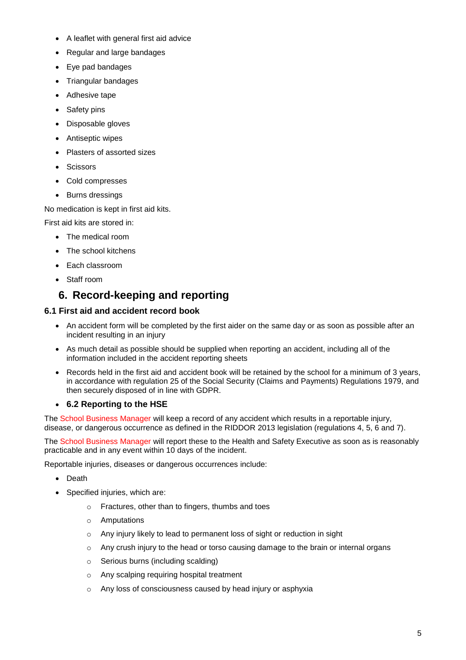- A leaflet with general first aid advice
- Regular and large bandages
- Eye pad bandages
- Triangular bandages
- Adhesive tape
- Safety pins
- Disposable gloves
- Antiseptic wipes
- Plasters of assorted sizes
- **Scissors**
- Cold compresses
- Burns dressings

No medication is kept in first aid kits.

First aid kits are stored in:

- The medical room
- The school kitchens
- Each classroom
- Staff room

### **6. Record-keeping and reporting**

#### **6.1 First aid and accident record book**

- An accident form will be completed by the first aider on the same day or as soon as possible after an incident resulting in an injury
- As much detail as possible should be supplied when reporting an accident, including all of the information included in the accident reporting sheets
- Records held in the first aid and accident book will be retained by the school for a minimum of 3 years, in accordance with regulation 25 of the Social Security (Claims and Payments) Regulations 1979, and then securely disposed of in line with GDPR.

### **6.2 Reporting to the HSE**

The School Business Manager will keep a record of any accident which results in a reportable injury, disease, or dangerous occurrence as defined in the RIDDOR 2013 legislation (regulations 4, 5, 6 and 7).

The School Business Manager will report these to the Health and Safety Executive as soon as is reasonably practicable and in any event within 10 days of the incident.

Reportable injuries, diseases or dangerous occurrences include:

- Death
- Specified injuries, which are:
	- o Fractures, other than to fingers, thumbs and toes
	- o Amputations
	- o Any injury likely to lead to permanent loss of sight or reduction in sight
	- $\circ$  Any crush injury to the head or torso causing damage to the brain or internal organs
	- o Serious burns (including scalding)
	- o Any scalping requiring hospital treatment
	- o Any loss of consciousness caused by head injury or asphyxia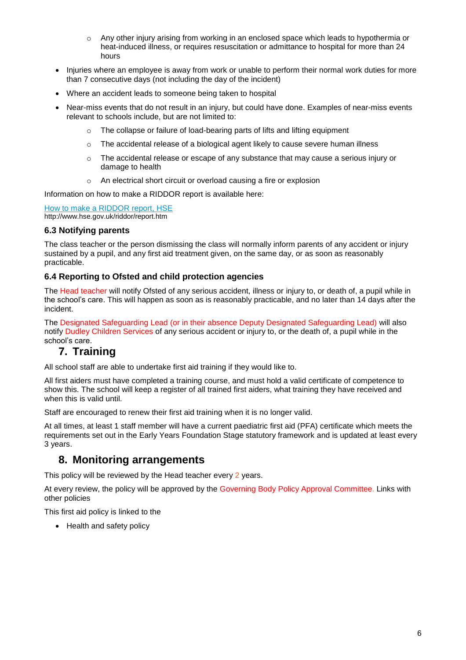- o Any other injury arising from working in an enclosed space which leads to hypothermia or heat-induced illness, or requires resuscitation or admittance to hospital for more than 24 hours
- Injuries where an employee is away from work or unable to perform their normal work duties for more than 7 consecutive days (not including the day of the incident)
- Where an accident leads to someone being taken to hospital
- Near-miss events that do not result in an injury, but could have done. Examples of near-miss events relevant to schools include, but are not limited to:
	- o The collapse or failure of load-bearing parts of lifts and lifting equipment
	- $\circ$  The accidental release of a biological agent likely to cause severe human illness
	- $\circ$  The accidental release or escape of any substance that may cause a serious injury or damage to health
	- o An electrical short circuit or overload causing a fire or explosion

Information on how to make a RIDDOR report is available here:

[How to make a RIDDOR report, HSE](http://www.hse.gov.uk/riddor/report.htm) http://www.hse.gov.uk/riddor/report.htm

#### **6.3 Notifying parents**

The class teacher or the person dismissing the class will normally inform parents of any accident or injury sustained by a pupil, and any first aid treatment given, on the same day, or as soon as reasonably practicable.

#### **6.4 Reporting to Ofsted and child protection agencies**

The Head teacher will notify Ofsted of any serious accident, illness or injury to, or death of, a pupil while in the school's care. This will happen as soon as is reasonably practicable, and no later than 14 days after the incident.

The Designated Safeguarding Lead (or in their absence Deputy Designated Safeguarding Lead) will also notify Dudley Children Services of any serious accident or injury to, or the death of, a pupil while in the school's care.

### **7. Training**

All school staff are able to undertake first aid training if they would like to.

All first aiders must have completed a training course, and must hold a valid certificate of competence to show this. The school will keep a register of all trained first aiders, what training they have received and when this is valid until.

Staff are encouraged to renew their first aid training when it is no longer valid.

At all times, at least 1 staff member will have a current paediatric first aid (PFA) certificate which meets the requirements set out in the Early Years Foundation Stage statutory framework and is updated at least every 3 years.

### **8. Monitoring arrangements**

This policy will be reviewed by the Head teacher every 2 years.

At every review, the policy will be approved by the Governing Body Policy Approval Committee. Links with other policies

This first aid policy is linked to the

• Health and safety policy